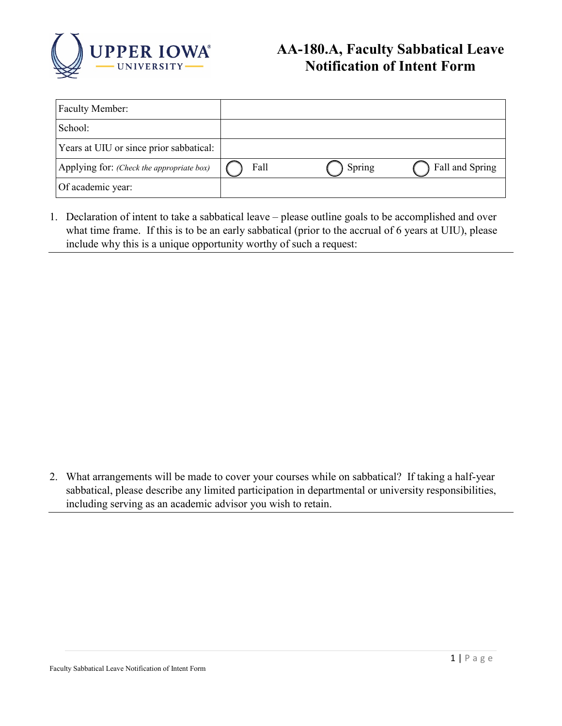

## **AA-180.A, Faculty Sabbatical Leave Notification of Intent Form**

| <b>Faculty Member:</b>                    |      |        |                 |
|-------------------------------------------|------|--------|-----------------|
| School:                                   |      |        |                 |
| Years at UIU or since prior sabbatical:   |      |        |                 |
| Applying for: (Check the appropriate box) | Fall | Spring | Fall and Spring |
| Of academic year:                         |      |        |                 |

1. Declaration of intent to take a sabbatical leave – please outline goals to be accomplished and over what time frame. If this is to be an early sabbatical (prior to the accrual of 6 years at UIU), please include why this is a unique opportunity worthy of such a request:

2. What arrangements will be made to cover your courses while on sabbatical? If taking a half-year sabbatical, please describe any limited participation in departmental or university responsibilities, including serving as an academic advisor you wish to retain.